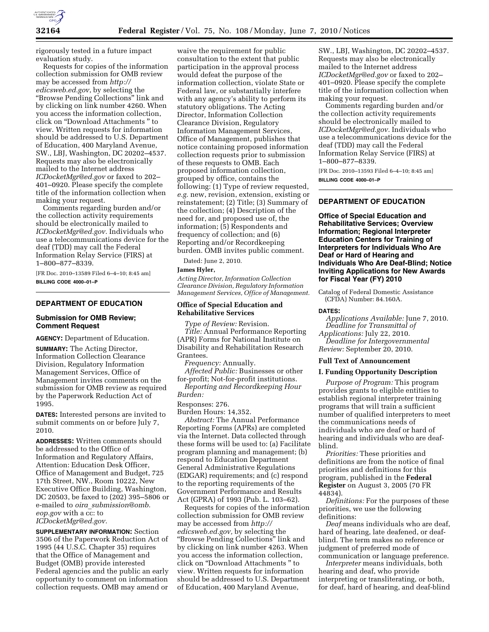

rigorously tested in a future impact evaluation study.

Requests for copies of the information collection submission for OMB review may be accessed from *http:// edicsweb.ed.gov*, by selecting the ''Browse Pending Collections'' link and by clicking on link number 4260. When you access the information collection, click on ''Download Attachments '' to view. Written requests for information should be addressed to U.S. Department of Education, 400 Maryland Avenue, SW., LBJ, Washington, DC 20202–4537. Requests may also be electronically mailed to the Internet address *ICDocketMgr@ed.gov* or faxed to 202– 401–0920. Please specify the complete title of the information collection when making your request.

Comments regarding burden and/or the collection activity requirements should be electronically mailed to *ICDocketMgr@ed.gov.* Individuals who use a telecommunications device for the deaf (TDD) may call the Federal Information Relay Service (FIRS) at 1–800–877–8339.

[FR Doc. 2010–13589 Filed 6–4–10; 8:45 am] **BILLING CODE 4000–01–P** 

## **DEPARTMENT OF EDUCATION**

## **Submission for OMB Review; Comment Request**

**AGENCY:** Department of Education.

**SUMMARY:** The Acting Director, Information Collection Clearance Division, Regulatory Information Management Services, Office of Management invites comments on the submission for OMB review as required by the Paperwork Reduction Act of 1995.

**DATES:** Interested persons are invited to submit comments on or before July 7, 2010.

**ADDRESSES:** Written comments should be addressed to the Office of Information and Regulatory Affairs, Attention: Education Desk Officer, Office of Management and Budget, 725 17th Street, NW., Room 10222, New Executive Office Building, Washington, DC 20503, be faxed to (202) 395–5806 or e-mailed to *oira*\_*submission@omb. eop.gov* with a cc: to *ICDocketMgr@ed.gov.* 

**SUPPLEMENTARY INFORMATION:** Section 3506 of the Paperwork Reduction Act of 1995 (44 U.S.C. Chapter 35) requires that the Office of Management and Budget (OMB) provide interested Federal agencies and the public an early opportunity to comment on information collection requests. OMB may amend or

waive the requirement for public consultation to the extent that public participation in the approval process would defeat the purpose of the information collection, violate State or Federal law, or substantially interfere with any agency's ability to perform its statutory obligations. The Acting Director, Information Collection Clearance Division, Regulatory Information Management Services, Office of Management, publishes that notice containing proposed information collection requests prior to submission of these requests to OMB. Each proposed information collection, grouped by office, contains the following: (1) Type of review requested, *e.g.* new, revision, extension, existing or reinstatement; (2) Title; (3) Summary of the collection; (4) Description of the need for, and proposed use of, the information; (5) Respondents and frequency of collection; and (6) Reporting and/or Recordkeeping burden. OMB invites public comment.

Dated: June 2, 2010.

#### **James Hyler,**

*Acting Director, Information Collection Clearance Division, Regulatory Information Management Services, Office of Management.* 

## **Office of Special Education and Rehabilitative Services**

*Type of Review:* Revision.

*Title:* Annual Performance Reporting (APR) Forms for National Institute on Disability and Rehabilitation Research Grantees.

*Frequency:* Annually.

*Affected Public:* Businesses or other for-profit; Not-for-profit institutions.

*Reporting and Recordkeeping Hour Burden:* 

#### Responses: 276.

Burden Hours: 14,352.

*Abstract:* The Annual Performance Reporting Forms (APRs) are completed via the Internet. Data collected through these forms will be used to: (a) Facilitate program planning and management; (b) respond to Education Department General Administrative Regulations (EDGAR) requirements; and (c) respond to the reporting requirements of the Government Performance and Results Act (GPRA) of 1993 (Pub. L. 103–62).

Requests for copies of the information collection submission for OMB review may be accessed from *http:// edicsweb.ed.gov,* by selecting the ''Browse Pending Collections'' link and by clicking on link number 4263. When you access the information collection, click on ''Download Attachments '' to view. Written requests for information should be addressed to U.S. Department of Education, 400 Maryland Avenue,

SW., LBJ, Washington, DC 20202–4537. Requests may also be electronically mailed to the Internet address *ICDocketMgr@ed.gov* or faxed to 202– 401–0920. Please specify the complete title of the information collection when making your request.

Comments regarding burden and/or the collection activity requirements should be electronically mailed to *ICDocketMgr@ed.gov.* Individuals who use a telecommunications device for the deaf (TDD) may call the Federal Information Relay Service (FIRS) at 1–800–877–8339.

[FR Doc. 2010–13593 Filed 6–4–10; 8:45 am] **BILLING CODE 4000–01–P** 

## **DEPARTMENT OF EDUCATION**

**Office of Special Education and Rehabilitative Services; Overview Information; Regional Interpreter Education Centers for Training of Interpreters for Individuals Who Are Deaf or Hard of Hearing and Individuals Who Are Deaf-Blind; Notice Inviting Applications for New Awards for Fiscal Year (FY) 2010** 

Catalog of Federal Domestic Assistance (CFDA) Number: 84.160A.

#### **DATES:**

*Applications Available:* June 7, 2010. *Deadline for Transmittal of* 

*Applications:* July 22, 2010. *Deadline for Intergovernmental Review:* September 20, 2010.

## **Full Text of Announcement**

## **I. Funding Opportunity Description**

*Purpose of Program:* This program provides grants to eligible entities to establish regional interpreter training programs that will train a sufficient number of qualified interpreters to meet the communications needs of individuals who are deaf or hard of hearing and individuals who are deafblind.

*Priorities:* These priorities and definitions are from the notice of final priorities and definitions for this program, published in the **Federal Register** on August 3, 2005 (70 FR 44834).

*Definitions:* For the purposes of these priorities, we use the following definitions:

*Deaf* means individuals who are deaf, hard of hearing, late deafened, or deafblind. The term makes no reference or judgment of preferred mode of communication or language preference.

*Interpreter* means individuals, both hearing and deaf, who provide interpreting or transliterating, or both, for deaf, hard of hearing, and deaf-blind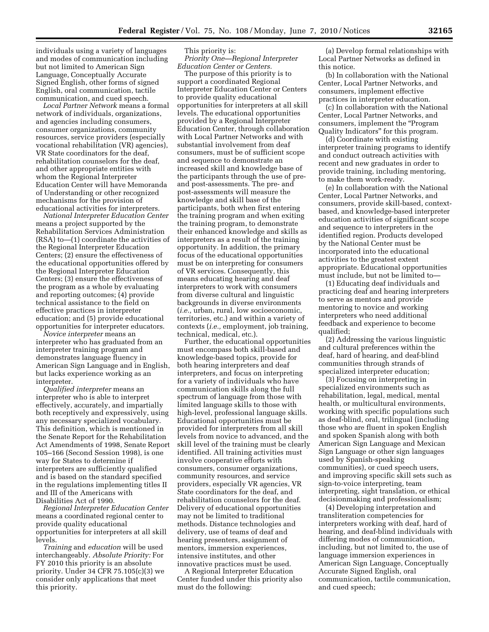individuals using a variety of languages and modes of communication including but not limited to American Sign Language, Conceptually Accurate Signed English, other forms of signed English, oral communication, tactile communication, and cued speech.

*Local Partner Network* means a formal network of individuals, organizations, and agencies including consumers, consumer organizations, community resources, service providers (especially vocational rehabilitation (VR) agencies), VR State coordinators for the deaf, rehabilitation counselors for the deaf, and other appropriate entities with whom the Regional Interpreter Education Center will have Memoranda of Understanding or other recognized mechanisms for the provision of educational activities for interpreters.

*National Interpreter Education Center*  means a project supported by the Rehabilitation Services Administration (RSA) to—(1) coordinate the activities of the Regional Interpreter Education Centers; (2) ensure the effectiveness of the educational opportunities offered by the Regional Interpreter Education Centers; (3) ensure the effectiveness of the program as a whole by evaluating and reporting outcomes; (4) provide technical assistance to the field on effective practices in interpreter education; and (5) provide educational opportunities for interpreter educators.

*Novice interpreter* means an interpreter who has graduated from an interpreter training program and demonstrates language fluency in American Sign Language and in English, but lacks experience working as an interpreter.

*Qualified interpreter* means an interpreter who is able to interpret effectively, accurately, and impartially both receptively and expressively, using any necessary specialized vocabulary. This definition, which is mentioned in the Senate Report for the Rehabilitation Act Amendments of 1998, Senate Report 105–166 (Second Session 1998), is one way for States to determine if interpreters are sufficiently qualified and is based on the standard specified in the regulations implementing titles II and III of the Americans with Disabilities Act of 1990.

*Regional Interpreter Education Center*  means a coordinated regional center to provide quality educational opportunities for interpreters at all skill levels.

*Training* and *education* will be used interchangeably. *Absolute Priority:* For FY 2010 this priority is an absolute priority. Under 34 CFR 75.105(c)(3) we consider only applications that meet this priority.

This priority is: *Priority One—Regional Interpreter Education Center or Centers.* 

The purpose of this priority is to support a coordinated Regional Interpreter Education Center or Centers to provide quality educational opportunities for interpreters at all skill levels. The educational opportunities provided by a Regional Interpreter Education Center, through collaboration with Local Partner Networks and with substantial involvement from deaf consumers, must be of sufficient scope and sequence to demonstrate an increased skill and knowledge base of the participants through the use of preand post-assessments. The pre- and post-assessments will measure the knowledge and skill base of the participants, both when first entering the training program and when exiting the training program, to demonstrate their enhanced knowledge and skills as interpreters as a result of the training opportunity. In addition, the primary focus of the educational opportunities must be on interpreting for consumers of VR services. Consequently, this means educating hearing and deaf interpreters to work with consumers from diverse cultural and linguistic backgrounds in diverse environments (*i.e.,* urban, rural, low socioeconomic, territories, etc.) and within a variety of contexts (*i.e.,* employment, job training, technical, medical, etc.).

Further, the educational opportunities must encompass both skill-based and knowledge-based topics, provide for both hearing interpreters and deaf interpreters, and focus on interpreting for a variety of individuals who have communication skills along the full spectrum of language from those with limited language skills to those with high-level, professional language skills. Educational opportunities must be provided for interpreters from all skill levels from novice to advanced, and the skill level of the training must be clearly identified. All training activities must involve cooperative efforts with consumers, consumer organizations, community resources, and service providers, especially VR agencies, VR State coordinators for the deaf, and rehabilitation counselors for the deaf. Delivery of educational opportunities may not be limited to traditional methods. Distance technologies and delivery, use of teams of deaf and hearing presenters, assignment of mentors, immersion experiences, intensive institutes, and other innovative practices must be used.

A Regional Interpreter Education Center funded under this priority also must do the following:

(a) Develop formal relationships with Local Partner Networks as defined in this notice.

(b) In collaboration with the National Center, Local Partner Networks, and consumers, implement effective practices in interpreter education.

(c) In collaboration with the National Center, Local Partner Networks, and consumers, implement the ''Program Quality Indicators'' for this program.

(d) Coordinate with existing interpreter training programs to identify and conduct outreach activities with recent and new graduates in order to provide training, including mentoring, to make them work-ready.

(e) In collaboration with the National Center, Local Partner Networks, and consumers, provide skill-based, contextbased, and knowledge-based interpreter education activities of significant scope and sequence to interpreters in the identified region. Products developed by the National Center must be incorporated into the educational activities to the greatest extent appropriate. Educational opportunities must include, but not be limited to—

(1) Educating deaf individuals and practicing deaf and hearing interpreters to serve as mentors and provide mentoring to novice and working interpreters who need additional feedback and experience to become qualified;

(2) Addressing the various linguistic and cultural preferences within the deaf, hard of hearing, and deaf-blind communities through strands of specialized interpreter education;

(3) Focusing on interpreting in specialized environments such as rehabilitation, legal, medical, mental health, or multicultural environments, working with specific populations such as deaf-blind, oral, trilingual (including those who are fluent in spoken English and spoken Spanish along with both American Sign Language and Mexican Sign Language or other sign languages used by Spanish-speaking communities), or cued speech users, and improving specific skill sets such as sign-to-voice interpreting, team interpreting, sight translation, or ethical decisionmaking and professionalism;

(4) Developing interpretation and transliteration competencies for interpreters working with deaf, hard of hearing, and deaf-blind individuals with differing modes of communication, including, but not limited to, the use of language immersion experiences in American Sign Language, Conceptually Accurate Signed English, oral communication, tactile communication, and cued speech;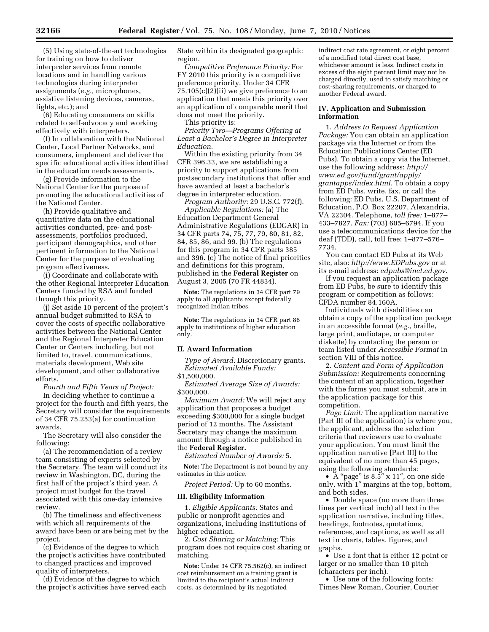(5) Using state-of-the-art technologies for training on how to deliver interpreter services from remote locations and in handling various technologies during interpreter assignments (*e.g.,* microphones, assistive listening devices, cameras, lights, etc.); and

(6) Educating consumers on skills related to self-advocacy and working effectively with interpreters.

(f) In collaboration with the National Center, Local Partner Networks, and consumers, implement and deliver the specific educational activities identified in the education needs assessments.

(g) Provide information to the National Center for the purpose of promoting the educational activities of the National Center.

(h) Provide qualitative and quantitative data on the educational activities conducted, pre- and postassessments, portfolios produced, participant demographics, and other pertinent information to the National Center for the purpose of evaluating program effectiveness.

(i) Coordinate and collaborate with the other Regional Interpreter Education Centers funded by RSA and funded through this priority.

(j) Set aside 10 percent of the project's annual budget submitted to RSA to cover the costs of specific collaborative activities between the National Center and the Regional Interpreter Education Center or Centers including, but not limited to, travel, communications, materials development, Web site development, and other collaborative efforts.

*Fourth and Fifth Years of Project:* 

In deciding whether to continue a project for the fourth and fifth years, the Secretary will consider the requirements of 34 CFR 75.253(a) for continuation awards.

The Secretary will also consider the following:

(a) The recommendation of a review team consisting of experts selected by the Secretary. The team will conduct its review in Washington, DC, during the first half of the project's third year. A project must budget for the travel associated with this one-day intensive review.

(b) The timeliness and effectiveness with which all requirements of the award have been or are being met by the project.

(c) Evidence of the degree to which the project's activities have contributed to changed practices and improved quality of interpreters.

(d) Evidence of the degree to which the project's activities have served each State within its designated geographic region.

*Competitive Preference Priority:* For FY 2010 this priority is a competitive preference priority. Under 34 CFR  $75.105(c)(2)$ (ii) we give preference to an application that meets this priority over an application of comparable merit that does not meet the priority.

This priority is:

*Priority Two—Programs Offering at Least a Bachelor's Degree in Interpreter Education.* 

Within the existing priority from 34 CFR 396.33, we are establishing a priority to support applications from postsecondary institutions that offer and have awarded at least a bachelor's degree in interpreter education.

*Program Authority:* 29 U.S.C. 772(f).

*Applicable Regulations:* (a) The Education Department General Administrative Regulations (EDGAR) in 34 CFR parts 74, 75, 77, 79, 80, 81, 82, 84, 85, 86, and 99. (b) The regulations for this program in 34 CFR parts 385 and 396. (c) The notice of final priorities and definitions for this program, published in the **Federal Register** on August 3, 2005 (70 FR 44834).

**Note:** The regulations in 34 CFR part 79 apply to all applicants except federally recognized Indian tribes.

**Note:** The regulations in 34 CFR part 86 apply to institutions of higher education only.

#### **II. Award Information**

*Type of Award:* Discretionary grants. *Estimated Available Funds:* 

# \$1,500,000.

*Estimated Average Size of Awards:*  \$300,000.

*Maximum Award:* We will reject any application that proposes a budget exceeding \$300,000 for a single budget period of 12 months. The Assistant Secretary may change the maximum amount through a notice published in the **Federal Register.** 

*Estimated Number of Awards:* 5.

**Note:** The Department is not bound by any estimates in this notice.

*Project Period:* Up to 60 months.

#### **III. Eligibility Information**

1. *Eligible Applicants:* States and public or nonprofit agencies and organizations, including institutions of higher education.

2. *Cost Sharing or Matching:* This program does not require cost sharing or matching.

**Note:** Under 34 CFR 75.562(c), an indirect cost reimbursement on a training grant is limited to the recipient's actual indirect costs, as determined by its negotiated

indirect cost rate agreement, or eight percent of a modified total direct cost base, whichever amount is less. Indirect costs in excess of the eight percent limit may not be charged directly, used to satisfy matching or cost-sharing requirements, or charged to another Federal award.

## **IV. Application and Submission Information**

1. *Address to Request Application Package:* You can obtain an application package via the Internet or from the Education Publications Center (ED Pubs). To obtain a copy via the Internet, use the following address: *http:// www.ed.gov/fund/grant/apply/ grantapps/index.html.* To obtain a copy from ED Pubs, write, fax, or call the following: ED Pubs, U.S. Department of Education, P.O. Box 22207, Alexandria, VA 22304. Telephone, *toll free:* 1–877– 433–7827. *Fax:* (703) 605–6794. If you use a telecommunications device for the deaf (TDD), call, toll free: 1–877–576– 7734.

You can contact ED Pubs at its Web site, also: *http://www.EDPubs.gov* or at its e-mail address: *edpubs@inet.ed.gov.* 

If you request an application package from ED Pubs, be sure to identify this program or competition as follows: CFDA number 84.160A.

Individuals with disabilities can obtain a copy of the application package in an accessible format (*e.g.,* braille, large print, audiotape, or computer diskette) by contacting the person or team listed under *Accessible Format* in section VIII of this notice.

2. *Content and Form of Application Submission:* Requirements concerning the content of an application, together with the forms you must submit, are in the application package for this competition.

*Page Limit:* The application narrative (Part III of the application) is where you, the applicant, address the selection criteria that reviewers use to evaluate your application. You must limit the application narrative [Part III] to the equivalent of no more than 45 pages, using the following standards:

• A "page" is 8.5" x 11", on one side only, with 1″ margins at the top, bottom, and both sides.

• Double space (no more than three lines per vertical inch) all text in the application narrative, including titles, headings, footnotes, quotations, references, and captions, as well as all text in charts, tables, figures, and graphs.

• Use a font that is either 12 point or larger or no smaller than 10 pitch (characters per inch).

• Use one of the following fonts: Times New Roman, Courier, Courier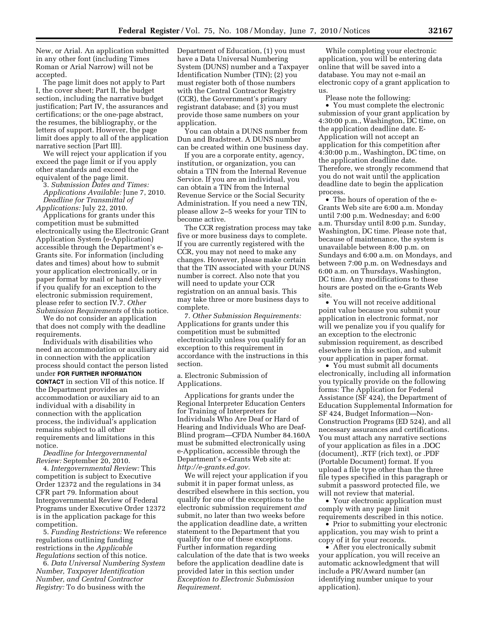New, or Arial. An application submitted in any other font (including Times Roman or Arial Narrow) will not be accepted.

The page limit does not apply to Part I, the cover sheet; Part II, the budget section, including the narrative budget justification; Part IV, the assurances and certifications; or the one-page abstract, the resumes, the bibliography, or the letters of support. However, the page limit does apply to all of the application narrative section [Part III].

We will reject your application if you exceed the page limit or if you apply other standards and exceed the equivalent of the page limit.

3. *Submission Dates and Times:* 

*Applications Available:* June 7, 2010. *Deadline for Transmittal of* 

*Applications:* July 22, 2010.

Applications for grants under this competition must be submitted electronically using the Electronic Grant Application System (e-Application) accessible through the Department's e-Grants site. For information (including dates and times) about how to submit your application electronically, or in paper format by mail or hand delivery if you qualify for an exception to the electronic submission requirement, please refer to section IV.7. *Other Submission Requirements* of this notice.

We do not consider an application that does not comply with the deadline requirements.

Individuals with disabilities who need an accommodation or auxiliary aid in connection with the application process should contact the person listed under **FOR FURTHER INFORMATION CONTACT** in section VII of this notice. If the Department provides an accommodation or auxiliary aid to an individual with a disability in connection with the application process, the individual's application remains subject to all other requirements and limitations in this notice.

*Deadline for Intergovernmental Review:* September 20, 2010.

4. *Intergovernmental Review:* This competition is subject to Executive Order 12372 and the regulations in 34 CFR part 79. Information about Intergovernmental Review of Federal Programs under Executive Order 12372 is in the application package for this competition.

5. *Funding Restrictions:* We reference regulations outlining funding restrictions in the *Applicable Regulations* section of this notice.

6. *Data Universal Numbering System Number, Taxpayer Identification Number, and Central Contractor Registry:* To do business with the

Department of Education, (1) you must have a Data Universal Numbering System (DUNS) number and a Taxpayer Identification Number (TIN); (2) you must register both of those numbers with the Central Contractor Registry (CCR), the Government's primary registrant database; and (3) you must provide those same numbers on your application.

You can obtain a DUNS number from Dun and Bradstreet. A DUNS number can be created within one business day.

If you are a corporate entity, agency, institution, or organization, you can obtain a TIN from the Internal Revenue Service. If you are an individual, you can obtain a TIN from the Internal Revenue Service or the Social Security Administration. If you need a new TIN, please allow 2–5 weeks for your TIN to become active.

The CCR registration process may take five or more business days to complete. If you are currently registered with the CCR, you may not need to make any changes. However, please make certain that the TIN associated with your DUNS number is correct. Also note that you will need to update your CCR registration on an annual basis. This may take three or more business days to complete.

7. *Other Submission Requirements:*  Applications for grants under this competition must be submitted electronically unless you qualify for an exception to this requirement in accordance with the instructions in this section.

a. Electronic Submission of Applications.

Applications for grants under the Regional Interpreter Education Centers for Training of Interpreters for Individuals Who Are Deaf or Hard of Hearing and Individuals Who are Deaf-Blind program—CFDA Number 84.160A must be submitted electronically using e-Application, accessible through the Department's e-Grants Web site at: *http://e-grants.ed.gov.* 

We will reject your application if you submit it in paper format unless, as described elsewhere in this section, you qualify for one of the exceptions to the electronic submission requirement *and*  submit, no later than two weeks before the application deadline date, a written statement to the Department that you qualify for one of these exceptions. Further information regarding calculation of the date that is two weeks before the application deadline date is provided later in this section under *Exception to Electronic Submission Requirement.* 

While completing your electronic application, you will be entering data online that will be saved into a database. You may not e-mail an electronic copy of a grant application to us.

Please note the following:

• You must complete the electronic submission of your grant application by 4:30:00 p.m., Washington, DC time, on the application deadline date. E-Application will not accept an application for this competition after 4:30:00 p.m., Washington, DC time, on the application deadline date. Therefore, we strongly recommend that you do not wait until the application deadline date to begin the application process.

• The hours of operation of the e-Grants Web site are 6:00 a.m. Monday until 7:00 p.m. Wednesday; and 6:00 a.m. Thursday until 8:00 p.m. Sunday, Washington, DC time. Please note that, because of maintenance, the system is unavailable between 8:00 p.m. on Sundays and 6:00 a.m. on Mondays, and between 7:00 p.m. on Wednesdays and 6:00 a.m. on Thursdays, Washington, DC time. Any modifications to these hours are posted on the e-Grants Web site.

• You will not receive additional point value because you submit your application in electronic format, nor will we penalize you if you qualify for an exception to the electronic submission requirement, as described elsewhere in this section, and submit your application in paper format.

• You must submit all documents electronically, including all information you typically provide on the following forms: The Application for Federal Assistance (SF 424), the Department of Education Supplemental Information for SF 424, Budget Information—Non-Construction Programs (ED 524), and all necessary assurances and certifications. You must attach any narrative sections of your application as files in a .DOC (document), .RTF (rich text), or .PDF (Portable Document) format. If you upload a file type other than the three file types specified in this paragraph or submit a password protected file, we will not review that material.

• Your electronic application must comply with any page limit requirements described in this notice.

• Prior to submitting your electronic application, you may wish to print a copy of it for your records.

• After you electronically submit your application, you will receive an automatic acknowledgment that will include a PR/Award number (an identifying number unique to your application).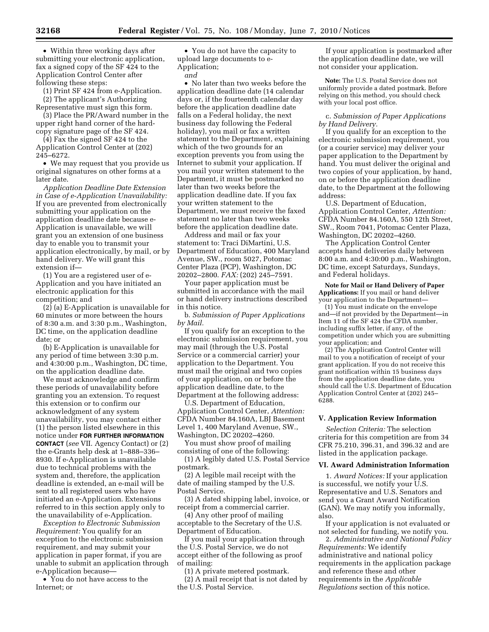• Within three working days after submitting your electronic application, fax a signed copy of the SF 424 to the Application Control Center after following these steps:

(1) Print SF 424 from e-Application. (2) The applicant's Authorizing Representative must sign this form.

(3) Place the PR/Award number in the upper right hand corner of the hardcopy signature page of the SF 424.

(4) Fax the signed SF 424 to the Application Control Center at (202) 245–6272.

• We may request that you provide us original signatures on other forms at a later date.

*Application Deadline Date Extension in Case of e-Application Unavailability:*  If you are prevented from electronically submitting your application on the application deadline date because e-Application is unavailable, we will grant you an extension of one business day to enable you to transmit your application electronically, by mail, or by hand delivery. We will grant this extension if—

(1) You are a registered user of e-Application and you have initiated an electronic application for this competition; and

(2) (a) E-Application is unavailable for 60 minutes or more between the hours of 8:30 a.m. and 3:30 p.m., Washington, DC time, on the application deadline date; or

(b) E-Application is unavailable for any period of time between 3:30 p.m. and 4:30:00 p.m., Washington, DC time, on the application deadline date.

We must acknowledge and confirm these periods of unavailability before granting you an extension. To request this extension or to confirm our acknowledgment of any system unavailability, you may contact either (1) the person listed elsewhere in this notice under **FOR FURTHER INFORMATION CONTACT** (*see* VII. Agency Contact) or (2) the e-Grants help desk at 1–888–336– 8930. If e-Application is unavailable due to technical problems with the system and, therefore, the application deadline is extended, an e-mail will be sent to all registered users who have initiated an e-Application. Extensions referred to in this section apply only to the unavailability of e-Application.

*Exception to Electronic Submission Requirement:* You qualify for an exception to the electronic submission requirement, and may submit your application in paper format, if you are unable to submit an application through e-Application because—

• You do not have access to the Internet; or

• You do not have the capacity to upload large documents to e-Application;

*and* 

• No later than two weeks before the application deadline date (14 calendar days or, if the fourteenth calendar day before the application deadline date falls on a Federal holiday, the next business day following the Federal holiday), you mail or fax a written statement to the Department, explaining which of the two grounds for an exception prevents you from using the Internet to submit your application. If you mail your written statement to the Department, it must be postmarked no later than two weeks before the application deadline date. If you fax your written statement to the Department, we must receive the faxed statement no later than two weeks before the application deadline date.

Address and mail or fax your statement to: Traci DiMartini, U.S. Department of Education, 400 Maryland Avenue, SW., room 5027, Potomac Center Plaza (PCP), Washington, DC 20202–2800. *FAX:* (202) 245–7591.

Your paper application must be submitted in accordance with the mail or hand delivery instructions described in this notice.

b. *Submission of Paper Applications by Mail.* 

If you qualify for an exception to the electronic submission requirement, you may mail (through the U.S. Postal Service or a commercial carrier) your application to the Department. You must mail the original and two copies of your application, on or before the application deadline date, to the Department at the following address:

U.S. Department of Education, Application Control Center, *Attention:*  CFDA Number 84.160A, LBJ Basement Level 1, 400 Maryland Avenue, SW., Washington, DC 20202–4260.

You must show proof of mailing consisting of one of the following:

(1) A legibly dated U.S. Postal Service postmark.

(2) A legible mail receipt with the date of mailing stamped by the U.S. Postal Service.

(3) A dated shipping label, invoice, or receipt from a commercial carrier.

(4) Any other proof of mailing acceptable to the Secretary of the U.S. Department of Education.

If you mail your application through the U.S. Postal Service, we do not accept either of the following as proof of mailing:

(1) A private metered postmark. (2) A mail receipt that is not dated by the U.S. Postal Service.

If your application is postmarked after the application deadline date, we will not consider your application.

**Note:** The U.S. Postal Service does not uniformly provide a dated postmark. Before relying on this method, you should check with your local post office.

## c. *Submission of Paper Applications by Hand Delivery.*

If you qualify for an exception to the electronic submission requirement, you (or a courier service) may deliver your paper application to the Department by hand. You must deliver the original and two copies of your application, by hand, on or before the application deadline date, to the Department at the following address:

U.S. Department of Education, Application Control Center, *Attention:*  CFDA Number 84.160A, 550 12th Street, SW., Room 7041, Potomac Center Plaza, Washington, DC 20202–4260.

The Application Control Center accepts hand deliveries daily between 8:00 a.m. and 4:30:00 p.m., Washington, DC time, except Saturdays, Sundays, and Federal holidays.

**Note for Mail or Hand Delivery of Paper Applications:** If you mail or hand deliver your application to the Department—

(1) You must indicate on the envelope and—if not provided by the Department—in Item 11 of the SF 424 the CFDA number, including suffix letter, if any, of the competition under which you are submitting your application; and

(2) The Application Control Center will mail to you a notification of receipt of your grant application. If you do not receive this grant notification within 15 business days from the application deadline date, you should call the U.S. Department of Education Application Control Center at (202) 245– 6288.

### **V. Application Review Information**

*Selection Criteria:* The selection criteria for this competition are from 34 CFR 75.210, 396.31, and 396.32 and are listed in the application package.

#### **VI. Award Administration Information**

1. *Award Notices:* If your application is successful, we notify your U.S. Representative and U.S. Senators and send you a Grant Award Notification (GAN). We may notify you informally, also.

If your application is not evaluated or not selected for funding, we notify you.

2. *Administrative and National Policy Requirements:* We identify administrative and national policy requirements in the application package and reference these and other requirements in the *Applicable Regulations* section of this notice.